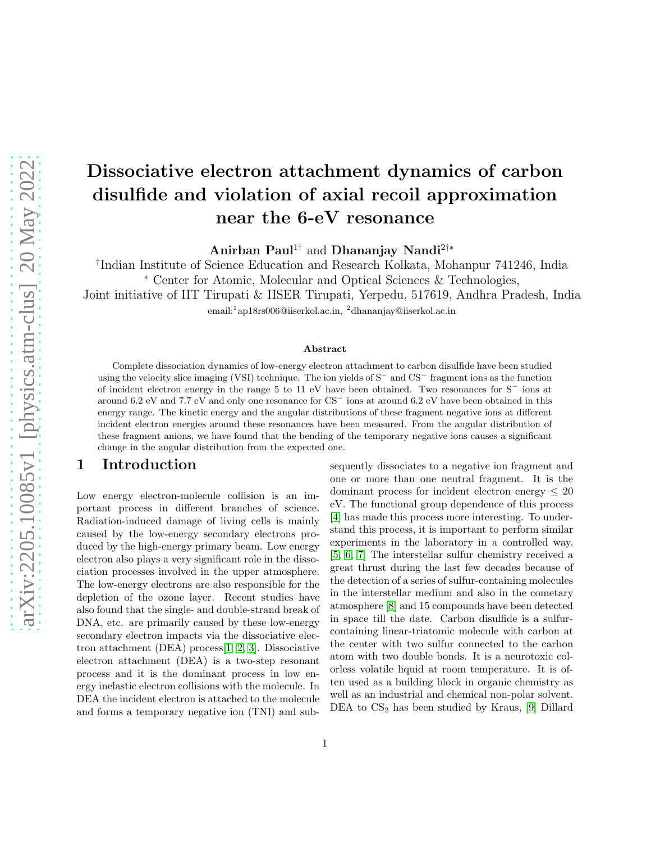# Dissociative electron attachment dynamics of carbon disulfide and violation of axial recoil approximation near the 6-eV resonance

Anirban Paul<sup>1†</sup> and Dhananjay Nandi<sup>2†</sup><sup>\*</sup>

† Indian Institute of Science Education and Research Kolkata, Mohanpur 741246, India <sup>∗</sup> Center for Atomic, Molecular and Optical Sciences & Technologies,

Joint initiative of IIT Tirupati & IISER Tirupati, Yerpedu, 517619, Andhra Pradesh, India

email:<sup>1</sup> ap18rs006@iiserkol.ac.in, <sup>2</sup>dhananjay@iiserkol.ac.in

### Abstract

Complete dissociation dynamics of low-energy electron attachment to carbon disulfide have been studied using the velocity slice imaging (VSI) technique. The ion yields of S<sup>−</sup> and CS<sup>−</sup> fragment ions as the function of incident electron energy in the range 5 to 11 eV have been obtained. Two resonances for S<sup>−</sup> ions at around 6.2 eV and 7.7 eV and only one resonance for CS<sup>−</sup> ions at around 6.2 eV have been obtained in this energy range. The kinetic energy and the angular distributions of these fragment negative ions at different incident electron energies around these resonances have been measured. From the angular distribution of these fragment anions, we have found that the bending of the temporary negative ions causes a significant change in the angular distribution from the expected one.

## 1 Introduction

Low energy electron-molecule collision is an important process in different branches of science. Radiation-induced damage of living cells is mainly caused by the low-energy secondary electrons produced by the high-energy primary beam. Low energy electron also plays a very significant role in the dissociation processes involved in the upper atmosphere. The low-energy electrons are also responsible for the depletion of the ozone layer. Recent studies have also found that the single- and double-strand break of DNA, etc. are primarily caused by these low-energy secondary electron impacts via the dissociative electron attachment (DEA) process[\[1,](#page-10-0) [2,](#page-10-1) [3\]](#page-10-2). Dissociative electron attachment (DEA) is a two-step resonant process and it is the dominant process in low energy inelastic electron collisions with the molecule. In DEA the incident electron is attached to the molecule and forms a temporary negative ion (TNI) and subsequently dissociates to a negative ion fragment and one or more than one neutral fragment. It is the dominant process for incident electron energy  $\leq 20$ eV. The functional group dependence of this process [\[4\]](#page-10-3) has made this process more interesting. To understand this process, it is important to perform similar experiments in the laboratory in a controlled way. [\[5,](#page-10-4) [6,](#page-10-5) [7\]](#page-10-6) The interstellar sulfur chemistry received a great thrust during the last few decades because of the detection of a series of sulfur-containing molecules in the interstellar medium and also in the cometary atmosphere [\[8\]](#page-10-7) and 15 compounds have been detected in space till the date. Carbon disulfide is a sulfurcontaining linear-triatomic molecule with carbon at the center with two sulfur connected to the carbon atom with two double bonds. It is a neurotoxic colorless volatile liquid at room temperature. It is often used as a building block in organic chemistry as well as an industrial and chemical non-polar solvent. DEA to  $CS_2$  has been studied by Kraus, [\[9\]](#page-10-8) Dillard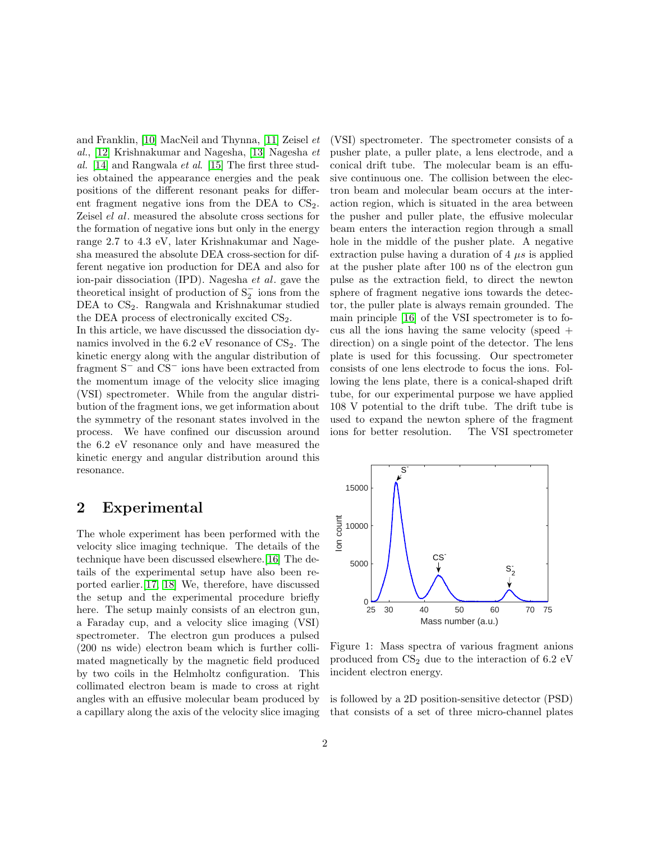and Franklin, [\[10\]](#page-10-9) MacNeil and Thynna, [\[11\]](#page-10-10) Zeisel et al., [\[12\]](#page-10-11) Krishnakumar and Nagesha, [\[13\]](#page-10-12) Nagesha et al. [\[14\]](#page-10-13) and Rangwala et al. [\[15\]](#page-10-14) The first three studies obtained the appearance energies and the peak positions of the different resonant peaks for different fragment negative ions from the DEA to  $CS<sub>2</sub>$ . Zeisel el al. measured the absolute cross sections for the formation of negative ions but only in the energy range 2.7 to 4.3 eV, later Krishnakumar and Nagesha measured the absolute DEA cross-section for different negative ion production for DEA and also for ion-pair dissociation (IPD). Nagesha et al. gave the theoretical insight of production of  $S_2^-$  ions from the DEA to  $CS<sub>2</sub>$ . Rangwala and Krishnakumar studied the DEA process of electronically excited  $CS<sub>2</sub>$ .

In this article, we have discussed the dissociation dynamics involved in the  $6.2 \text{ eV}$  resonance of  $CS_2$ . The kinetic energy along with the angular distribution of fragment S<sup>−</sup> and CS<sup>−</sup> ions have been extracted from the momentum image of the velocity slice imaging (VSI) spectrometer. While from the angular distribution of the fragment ions, we get information about the symmetry of the resonant states involved in the process. We have confined our discussion around the 6.2 eV resonance only and have measured the kinetic energy and angular distribution around this resonance.

# 2 Experimental

The whole experiment has been performed with the velocity slice imaging technique. The details of the technique have been discussed elsewhere.[\[16\]](#page-10-15) The details of the experimental setup have also been reported earlier.[\[17,](#page-10-16) [18\]](#page-10-17) We, therefore, have discussed the setup and the experimental procedure briefly here. The setup mainly consists of an electron gun, a Faraday cup, and a velocity slice imaging (VSI) spectrometer. The electron gun produces a pulsed (200 ns wide) electron beam which is further collimated magnetically by the magnetic field produced by two coils in the Helmholtz configuration. This collimated electron beam is made to cross at right angles with an effusive molecular beam produced by a capillary along the axis of the velocity slice imaging (VSI) spectrometer. The spectrometer consists of a pusher plate, a puller plate, a lens electrode, and a conical drift tube. The molecular beam is an effusive continuous one. The collision between the electron beam and molecular beam occurs at the interaction region, which is situated in the area between the pusher and puller plate, the effusive molecular beam enters the interaction region through a small hole in the middle of the pusher plate. A negative extraction pulse having a duration of  $4 \mu s$  is applied at the pusher plate after 100 ns of the electron gun pulse as the extraction field, to direct the newton sphere of fragment negative ions towards the detector, the puller plate is always remain grounded. The main principle [\[16\]](#page-10-15) of the VSI spectrometer is to focus all the ions having the same velocity (speed  $+$ direction) on a single point of the detector. The lens plate is used for this focussing. Our spectrometer consists of one lens electrode to focus the ions. Following the lens plate, there is a conical-shaped drift tube, for our experimental purpose we have applied 108 V potential to the drift tube. The drift tube is used to expand the newton sphere of the fragment ions for better resolution. The VSI spectrometer



<span id="page-1-0"></span>Figure 1: Mass spectra of various fragment anions produced from  $CS_2$  due to the interaction of 6.2 eV incident electron energy.

is followed by a 2D position-sensitive detector (PSD) that consists of a set of three micro-channel plates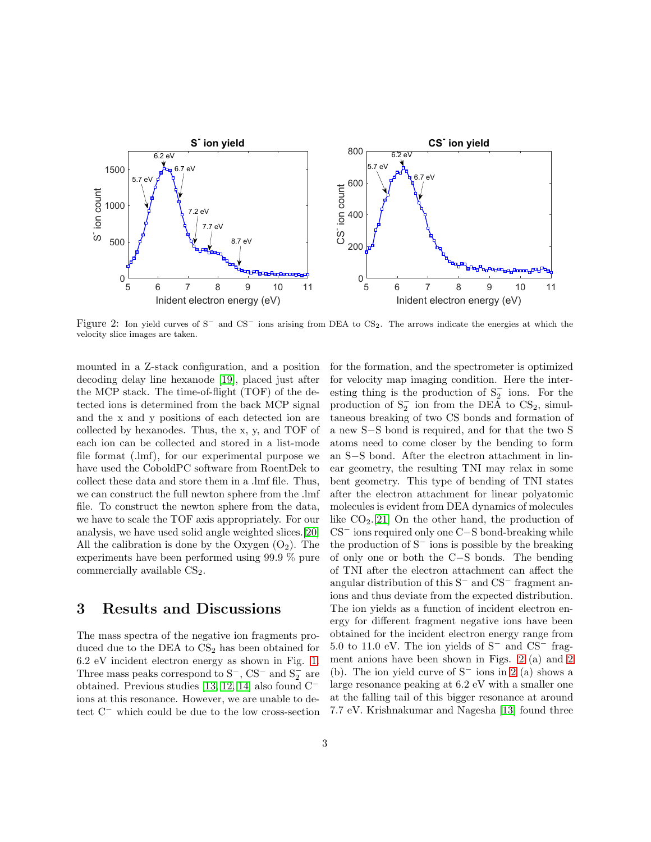

<span id="page-2-0"></span>Figure 2: Ion yield curves of S<sup>−</sup> and CS<sup>−</sup> ions arising from DEA to CS2. The arrows indicate the energies at which the velocity slice images are taken.

mounted in a Z-stack configuration, and a position decoding delay line hexanode [\[19\]](#page-10-18), placed just after the MCP stack. The time-of-flight (TOF) of the detected ions is determined from the back MCP signal and the x and y positions of each detected ion are collected by hexanodes. Thus, the x, y, and TOF of each ion can be collected and stored in a list-mode file format (.lmf), for our experimental purpose we have used the CoboldPC software from RoentDek to collect these data and store them in a .lmf file. Thus, we can construct the full newton sphere from the .lmf file. To construct the newton sphere from the data, we have to scale the TOF axis appropriately. For our analysis, we have used solid angle weighted slices.[\[20\]](#page-10-19) All the calibration is done by the Oxygen  $(O_2)$ . The experiments have been performed using 99.9 % pure commercially available  $CS<sub>2</sub>$ .

## 3 Results and Discussions

The mass spectra of the negative ion fragments produced due to the DEA to  $CS<sub>2</sub>$  has been obtained for 6.2 eV incident electron energy as shown in Fig. [1.](#page-1-0) Three mass peaks correspond to S<sup>-</sup>, CS<sup>-</sup> and S<sub>2</sub><sup>-</sup> are obtained. Previous studies [\[13,](#page-10-12) [12,](#page-10-11) [14\]](#page-10-13) also found C<sup>−</sup> ions at this resonance. However, we are unable to detect C<sup>−</sup> which could be due to the low cross-section for the formation, and the spectrometer is optimized for velocity map imaging condition. Here the interesting thing is the production of  $S_2^-$  ions. For the production of  $S_2^-$  ion from the DEA to CS<sub>2</sub>, simultaneous breaking of two CS bonds and formation of a new S−S bond is required, and for that the two S atoms need to come closer by the bending to form an S−S bond. After the electron attachment in linear geometry, the resulting TNI may relax in some bent geometry. This type of bending of TNI states after the electron attachment for linear polyatomic molecules is evident from DEA dynamics of molecules like  $CO<sub>2</sub>$ .[\[21\]](#page-11-0) On the other hand, the production of CS<sup>−</sup> ions required only one C−S bond-breaking while the production of S<sup>−</sup> ions is possible by the breaking of only one or both the C−S bonds. The bending of TNI after the electron attachment can affect the angular distribution of this S<sup>−</sup> and CS<sup>−</sup> fragment anions and thus deviate from the expected distribution. The ion yields as a function of incident electron energy for different fragment negative ions have been obtained for the incident electron energy range from 5.0 to 11.0 eV. The ion yields of S<sup>−</sup> and CS<sup>−</sup> fragment anions have been shown in Figs. [2](#page-2-0) (a) and [2](#page-2-0) (b). The ion yield curve of  $S^-$  ions in [2](#page-2-0) (a) shows a large resonance peaking at 6.2 eV with a smaller one at the falling tail of this bigger resonance at around 7.7 eV. Krishnakumar and Nagesha [\[13\]](#page-10-12) found three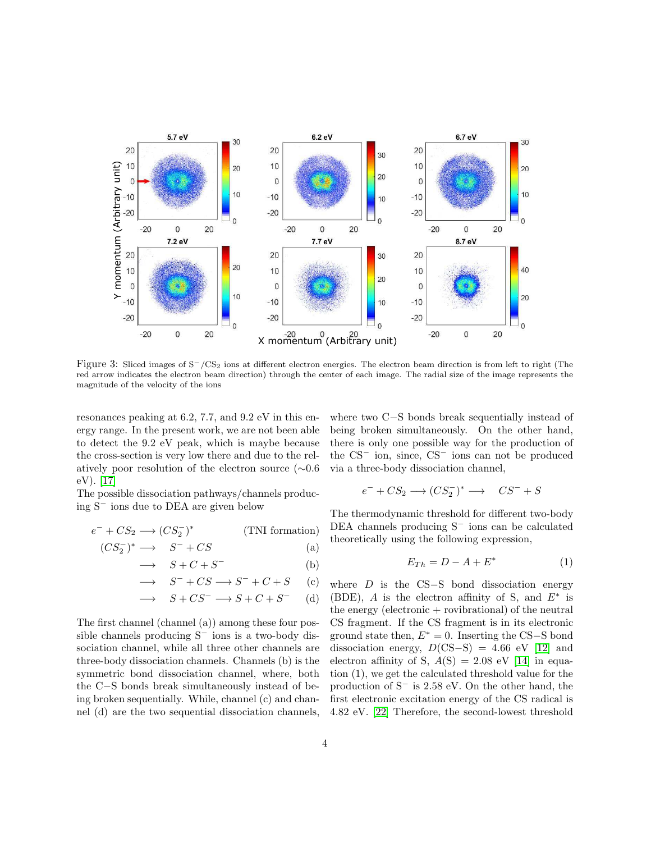

<span id="page-3-0"></span>Figure 3: Sliced images of S−/CS<sup>2</sup> ions at different electron energies. The electron beam direction is from left to right (The red arrow indicates the electron beam direction) through the center of each image. The radial size of the image represents the magnitude of the velocity of the ions

resonances peaking at 6.2, 7.7, and 9.2 eV in this energy range. In the present work, we are not been able to detect the 9.2 eV peak, which is maybe because the cross-section is very low there and due to the relatively poor resolution of the electron source (∼0.6 eV). [\[17\]](#page-10-16)

The possible dissociation pathways/channels producing S<sup>−</sup> ions due to DEA are given below

$$
e^- + CS_2 \longrightarrow (CS_2^-)^* \tag{TNI formation}
$$

$$
(CS_2^-)^* \longrightarrow S^- + CS \tag{a}
$$

$$
\longrightarrow \tS + C + S^{-} \t\t(b)
$$

$$
\longrightarrow S^- + CS \longrightarrow S^- + C + S \quad (c)
$$

$$
\longrightarrow S + CS^- \longrightarrow S + C + S^- \quad (d)
$$

The first channel (channel (a)) among these four possible channels producing S<sup>−</sup> ions is a two-body dissociation channel, while all three other channels are three-body dissociation channels. Channels (b) is the symmetric bond dissociation channel, where, both the C−S bonds break simultaneously instead of being broken sequentially. While, channel (c) and channel (d) are the two sequential dissociation channels,

where two C−S bonds break sequentially instead of being broken simultaneously. On the other hand, there is only one possible way for the production of the CS<sup>−</sup> ion, since, CS<sup>−</sup> ions can not be produced via a three-body dissociation channel,

$$
e^- + CS_2 \longrightarrow (CS_2^-)^* \longrightarrow CS^- + S
$$

The thermodynamic threshold for different two-body DEA channels producing S<sup>−</sup> ions can be calculated theoretically using the following expression,

$$
E_{Th} = D - A + E^*
$$
\n<sup>(1)</sup>

where  $D$  is the CS-S bond dissociation energy (BDE), A is the electron affinity of S, and  $E^*$  is the energy (electronic  $+$  rovibrational) of the neutral CS fragment. If the CS fragment is in its electronic ground state then,  $E^* = 0$ . Inserting the CS–S bond dissociation energy,  $D(CS-S) = 4.66$  eV [\[12\]](#page-10-11) and electron affinity of S,  $A(S) = 2.08$  eV [\[14\]](#page-10-13) in equation (1), we get the calculated threshold value for the production of S<sup>−</sup> is 2.58 eV. On the other hand, the first electronic excitation energy of the CS radical is 4.82 eV. [\[22\]](#page-11-1) Therefore, the second-lowest threshold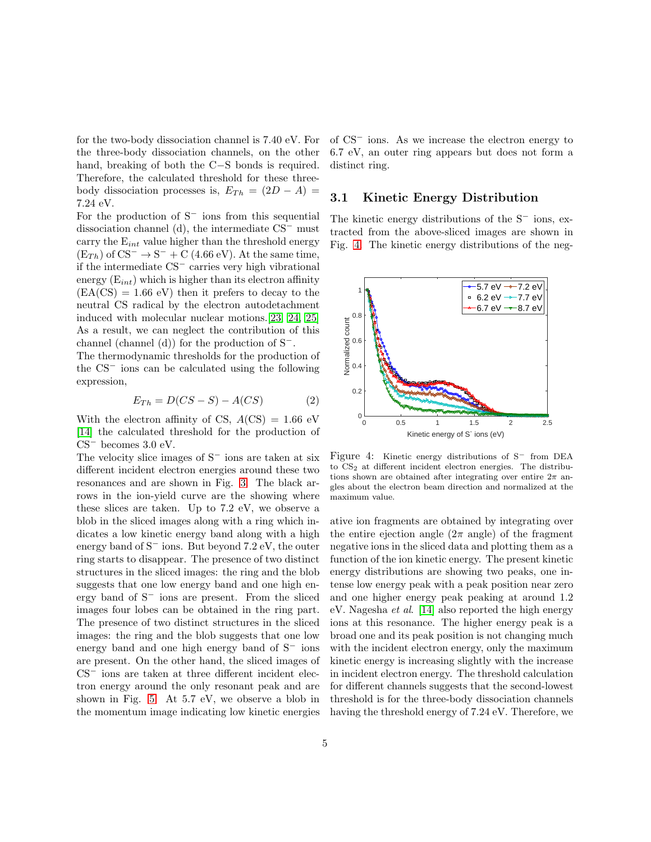for the two-body dissociation channel is 7.40 eV. For the three-body dissociation channels, on the other hand, breaking of both the C−S bonds is required. Therefore, the calculated threshold for these threebody dissociation processes is,  $E_{Th} = (2D - A)$ 7.24 eV.

For the production of  $S^-$  ions from this sequential dissociation channel (d), the intermediate CS<sup>−</sup> must carry the  $E_{int}$  value higher than the threshold energy  $(E_{Th})$  of CS<sup>-</sup> → S<sup>-</sup> + C (4.66 eV). At the same time, if the intermediate CS<sup>−</sup> carries very high vibrational energy  $(E_{int})$  which is higher than its electron affinity  $(EA(CS) = 1.66$  eV) then it prefers to decay to the neutral CS radical by the electron autodetachment induced with molecular nuclear motions.[\[23,](#page-11-2) [24,](#page-11-3) [25\]](#page-11-4) As a result, we can neglect the contribution of this channel (channel (d)) for the production of S<sup>−</sup>.

The thermodynamic thresholds for the production of the CS<sup>−</sup> ions can be calculated using the following expression,

$$
E_{Th} = D(CS - S) - A(CS)
$$
 (2)

With the electron affinity of CS,  $A$ (CS) = 1.66 eV [\[14\]](#page-10-13) the calculated threshold for the production of  $CS^-$  becomes 3.0 eV.

The velocity slice images of S<sup>−</sup> ions are taken at six different incident electron energies around these two resonances and are shown in Fig. [3.](#page-3-0) The black arrows in the ion-yield curve are the showing where these slices are taken. Up to 7.2 eV, we observe a blob in the sliced images along with a ring which indicates a low kinetic energy band along with a high energy band of  $S^-$  ions. But beyond 7.2 eV, the outer ring starts to disappear. The presence of two distinct structures in the sliced images: the ring and the blob suggests that one low energy band and one high energy band of S<sup>−</sup> ions are present. From the sliced images four lobes can be obtained in the ring part. The presence of two distinct structures in the sliced images: the ring and the blob suggests that one low energy band and one high energy band of S<sup>−</sup> ions are present. On the other hand, the sliced images of CS<sup>−</sup> ions are taken at three different incident electron energy around the only resonant peak and are shown in Fig. [5.](#page-5-0) At 5.7 eV, we observe a blob in the momentum image indicating low kinetic energies of CS<sup>−</sup> ions. As we increase the electron energy to 6.7 eV, an outer ring appears but does not form a distinct ring.

## 3.1 Kinetic Energy Distribution

The kinetic energy distributions of the S<sup>−</sup> ions, extracted from the above-sliced images are shown in Fig. [4.](#page-4-0) The kinetic energy distributions of the neg-



<span id="page-4-0"></span>Figure 4: Kinetic energy distributions of S<sup>−</sup> from DEA to CS2 at different incident electron energies. The distributions shown are obtained after integrating over entire  $2\pi$  angles about the electron beam direction and normalized at the maximum value.

ative ion fragments are obtained by integrating over the entire ejection angle  $(2\pi \text{ angle})$  of the fragment negative ions in the sliced data and plotting them as a function of the ion kinetic energy. The present kinetic energy distributions are showing two peaks, one intense low energy peak with a peak position near zero and one higher energy peak peaking at around 1.2 eV. Nagesha et al. [\[14\]](#page-10-13) also reported the high energy ions at this resonance. The higher energy peak is a broad one and its peak position is not changing much with the incident electron energy, only the maximum kinetic energy is increasing slightly with the increase in incident electron energy. The threshold calculation for different channels suggests that the second-lowest threshold is for the three-body dissociation channels having the threshold energy of 7.24 eV. Therefore, we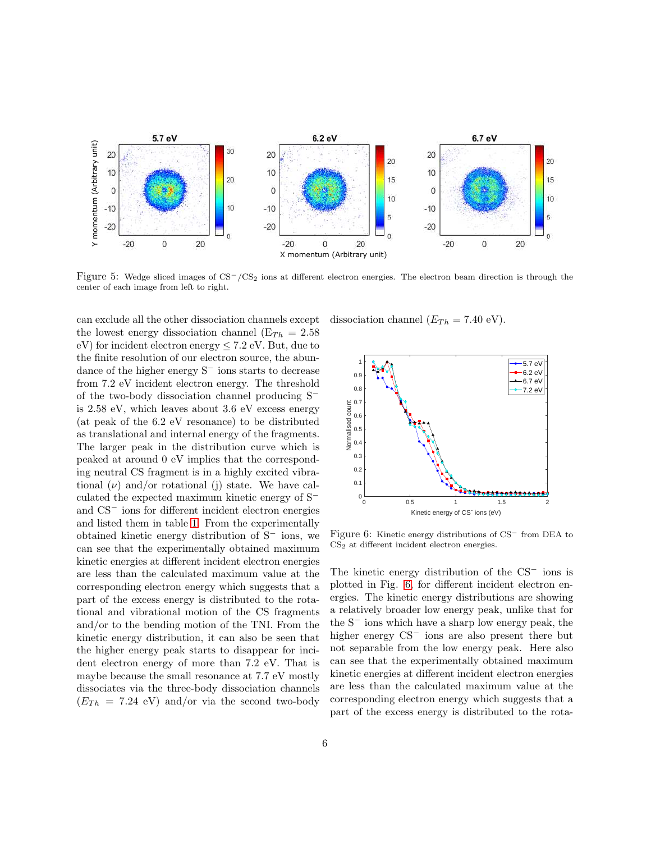

<span id="page-5-0"></span>Figure 5: Wedge sliced images of CS−/CS<sup>2</sup> ions at different electron energies. The electron beam direction is through the center of each image from left to right.

can exclude all the other dissociation channels except the lowest energy dissociation channel ( $E_{Th} = 2.58$ ) eV) for incident electron energy  $\leq 7.2$  eV. But, due to the finite resolution of our electron source, the abundance of the higher energy S<sup>−</sup> ions starts to decrease from 7.2 eV incident electron energy. The threshold of the two-body dissociation channel producing S<sup>−</sup> is 2.58 eV, which leaves about 3.6 eV excess energy (at peak of the 6.2 eV resonance) to be distributed as translational and internal energy of the fragments. The larger peak in the distribution curve which is peaked at around 0 eV implies that the corresponding neutral CS fragment is in a highly excited vibrational  $(\nu)$  and/or rotational (j) state. We have calculated the expected maximum kinetic energy of S<sup>−</sup> and CS<sup>−</sup> ions for different incident electron energies and listed them in table [1.](#page-6-0) From the experimentally obtained kinetic energy distribution of S<sup>−</sup> ions, we can see that the experimentally obtained maximum kinetic energies at different incident electron energies are less than the calculated maximum value at the corresponding electron energy which suggests that a part of the excess energy is distributed to the rotational and vibrational motion of the CS fragments and/or to the bending motion of the TNI. From the kinetic energy distribution, it can also be seen that the higher energy peak starts to disappear for incident electron energy of more than 7.2 eV. That is maybe because the small resonance at 7.7 eV mostly dissociates via the three-body dissociation channels  $(E_{Th} = 7.24$  eV) and/or via the second two-body

dissociation channel  $(E_{Th} = 7.40 \text{ eV})$ .



<span id="page-5-1"></span>Figure 6: Kinetic energy distributions of CS<sup>−</sup> from DEA to  $CS<sub>2</sub>$  at different incident electron energies.

The kinetic energy distribution of the CS<sup>−</sup> ions is plotted in Fig. [6,](#page-5-1) for different incident electron energies. The kinetic energy distributions are showing a relatively broader low energy peak, unlike that for the S<sup>−</sup> ions which have a sharp low energy peak, the higher energy CS<sup>−</sup> ions are also present there but not separable from the low energy peak. Here also can see that the experimentally obtained maximum kinetic energies at different incident electron energies are less than the calculated maximum value at the corresponding electron energy which suggests that a part of the excess energy is distributed to the rota-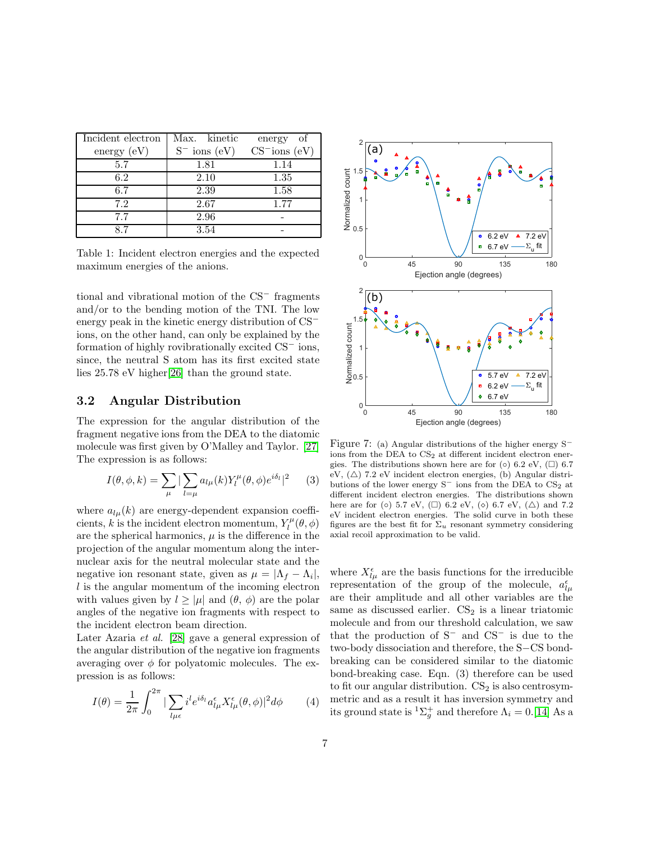| Incident electron | Max. kinetic      | energy of                     |  |  |
|-------------------|-------------------|-------------------------------|--|--|
| energy $(eV)$     | $S^-$ ions $(eV)$ | $CS$ <sup>-</sup> ions $(eV)$ |  |  |
| 5.7               | 1.81              | 1.14                          |  |  |
| 6.2               | 2.10              | 1.35                          |  |  |
| 6.7               | 2.39              | 1.58                          |  |  |
| 7.2               | 2.67              | 1.77                          |  |  |
| 7.7               | 2.96              |                               |  |  |
|                   | 3.54              |                               |  |  |

<span id="page-6-0"></span>Table 1: Incident electron energies and the expected maximum energies of the anions.

tional and vibrational motion of the CS<sup>−</sup> fragments and/or to the bending motion of the TNI. The low energy peak in the kinetic energy distribution of CS<sup>−</sup> ions, on the other hand, can only be explained by the formation of highly rovibrationally excited CS<sup>−</sup> ions, since, the neutral S atom has its first excited state lies 25.78 eV higher[\[26\]](#page-11-5) than the ground state.

## 3.2 Angular Distribution

The expression for the angular distribution of the fragment negative ions from the DEA to the diatomic molecule was first given by O'Malley and Taylor. [\[27\]](#page-11-6) The expression is as follows:

$$
I(\theta, \phi, k) = \sum_{\mu} |\sum_{l=\mu} a_{l\mu}(k) Y_l^{\mu}(\theta, \phi) e^{i\delta_l}|^2 \qquad (3)
$$

where  $a_{l\mu}(k)$  are energy-dependent expansion coefficients, k is the incident electron momentum,  $Y_l^{\mu}(\theta, \phi)$ are the spherical harmonics,  $\mu$  is the difference in the projection of the angular momentum along the internuclear axis for the neutral molecular state and the negative ion resonant state, given as  $\mu = |\Lambda_f - \Lambda_i|$ ,  $l$  is the angular momentum of the incoming electron with values given by  $l \geq |\mu|$  and  $(\theta, \phi)$  are the polar angles of the negative ion fragments with respect to the incident electron beam direction.

Later Azaria et al. [\[28\]](#page-11-7) gave a general expression of the angular distribution of the negative ion fragments averaging over  $\phi$  for polyatomic molecules. The expression is as follows:

$$
I(\theta) = \frac{1}{2\pi} \int_0^{2\pi} |\sum_{l\mu\epsilon} i^l e^{i\delta_l} a_{l\mu}^{\epsilon} X_{l\mu}^{\epsilon}(\theta, \phi)|^2 d\phi \qquad (4)
$$



<span id="page-6-1"></span>Figure 7: (a) Angular distributions of the higher energy S<sup>−</sup> ions from the DEA to  $CS<sub>2</sub>$  at different incident electron energies. The distributions shown here are for  $(\circ)$  6.2 eV,  $(\square)$  6.7 eV,  $(\triangle)$  7.2 eV incident electron energies, (b) Angular distributions of the lower energy  $S^-$  ions from the DEA to  $CS_2$  at different incident electron energies. The distributions shown here are for (◦) 5.7 eV, (□) 6.2 eV, (◦) 6.7 eV, (△) and 7.2 eV incident electron energies. The solid curve in both these figures are the best fit for  $\Sigma_u$  resonant symmetry considering axial recoil approximation to be valid.

where  $X^{\epsilon}_{l\mu}$  are the basis functions for the irreducible representation of the group of the molecule,  $a_{l\mu}^{\epsilon}$ are their amplitude and all other variables are the same as discussed earlier.  $CS_2$  is a linear triatomic molecule and from our threshold calculation, we saw that the production of S<sup>−</sup> and CS<sup>−</sup> is due to the two-body dissociation and therefore, the S−CS bondbreaking can be considered similar to the diatomic bond-breaking case. Eqn. (3) therefore can be used to fit our angular distribution.  $CS<sub>2</sub>$  is also centrosymmetric and as a result it has inversion symmetry and its ground state is  ${}^{1}\Sigma_{g}^{+}$  and therefore  $\Lambda_{i} = 0.$ [\[14\]](#page-10-13) As a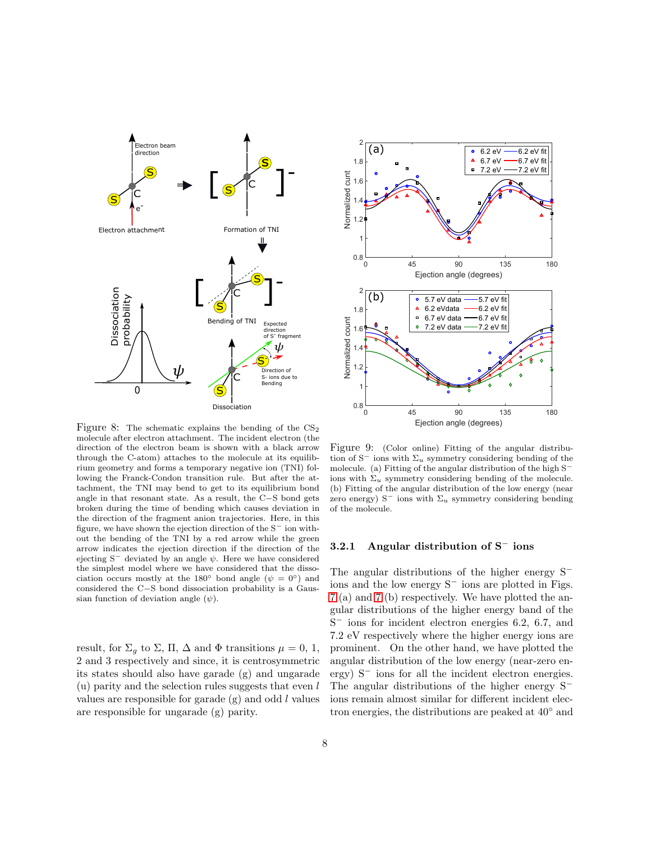

<span id="page-7-0"></span>Figure 8: The schematic explains the bending of the  $CS<sub>2</sub>$ molecule after electron attachment. The incident electron (the direction of the electron beam is shown with a black arrow through the C-atom) attaches to the molecule at its equilibrium geometry and forms a temporary negative ion (TNI) following the Franck-Condon transition rule. But after the attachment, the TNI may bend to get to its equilibrium bond angle in that resonant state. As a result, the C−S bond gets broken during the time of bending which causes deviation in the direction of the fragment anion trajectories. Here, in this figure, we have shown the ejection direction of the S<sup>−</sup> ion without the bending of the TNI by a red arrow while the green arrow indicates the ejection direction if the direction of the ejecting  $S^-$  deviated by an angle  $\psi$ . Here we have considered the simplest model where we have considered that the dissociation occurs mostly at the 180<sup>°</sup> bond angle ( $\psi = 0$ <sup>°</sup>) and considered the C−S bond dissociation probability is a Gaussian function of deviation angle  $(\psi)$ .

result, for  $\Sigma_g$  to  $\Sigma$ ,  $\Pi$ ,  $\Delta$  and  $\Phi$  transitions  $\mu = 0, 1$ , 2 and 3 respectively and since, it is centrosymmetric its states should also have garade (g) and ungarade (u) parity and the selection rules suggests that even  $l$ values are responsible for garade  $(g)$  and odd  $l$  values are responsible for ungarade (g) parity.



<span id="page-7-1"></span>Figure 9: (Color online) Fitting of the angular distribution of  $S^-$  ions with  $\Sigma_u$  symmetry considering bending of the molecule. (a) Fitting of the angular distribution of the high S<sup>−</sup> ions with  $\Sigma_u$  symmetry considering bending of the molecule. (b) Fitting of the angular distribution of the low energy (near zero energy) S<sup>-</sup> ions with  $\Sigma_u$  symmetry considering bending of the molecule.

### 3.2.1 Angular distribution of S<sup>−</sup> ions

The angular distributions of the higher energy S<sup>−</sup> ions and the low energy S<sup>−</sup> ions are plotted in Figs. [7](#page-6-1) (a) and [7](#page-6-1) (b) respectively. We have plotted the angular distributions of the higher energy band of the S <sup>−</sup> ions for incident electron energies 6.2, 6.7, and 7.2 eV respectively where the higher energy ions are prominent. On the other hand, we have plotted the angular distribution of the low energy (near-zero energy) S<sup>−</sup> ions for all the incident electron energies. The angular distributions of the higher energy S<sup>−</sup> ions remain almost similar for different incident electron energies, the distributions are peaked at 40◦ and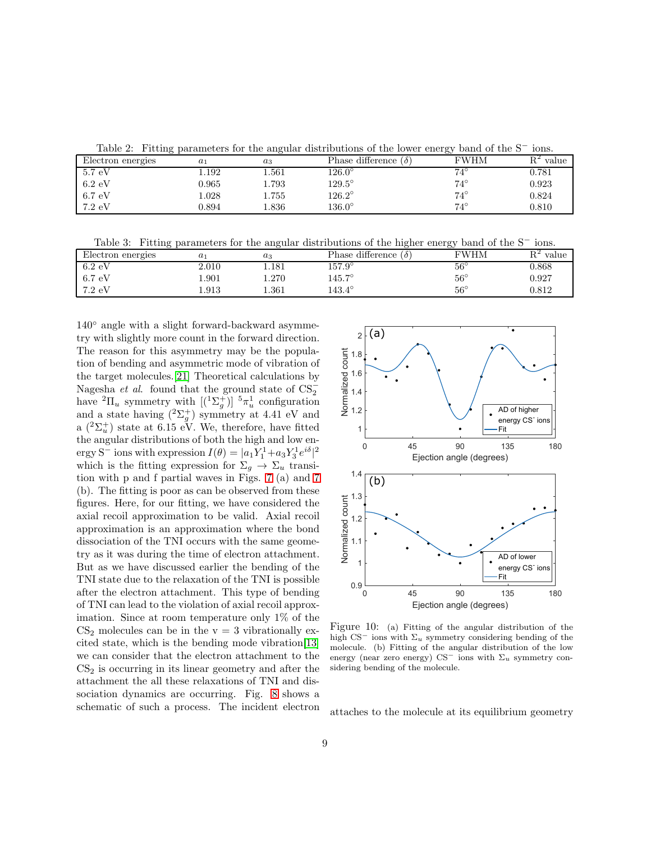<span id="page-8-0"></span>Table 2: Fitting parameters for the angular distributions of the lower energy band of the S<sup>−</sup> ions.

|                       | ິ     |       |                             | ີ            |                |
|-----------------------|-------|-------|-----------------------------|--------------|----------------|
| Electron energies     | $a_1$ | $a_3$ | Phase difference $(\delta)$ | <b>FWHM</b>  | $R^2$<br>value |
| $5.7 \text{ eV}$      | .192  | 1.561 | $126.0^\circ$               | $74^{\circ}$ | $\;\:0.781$    |
| $6.2 \text{ eV}$      | 0.965 | 1.793 | $129.5^\circ$               | $74^{\circ}$ | 0.923          |
| $6.7 \,\,{\text{eV}}$ | .028  | 1.755 | $126.2^\circ$               | $74^{\circ}$ | 0.824          |
| $7.2 \text{ eV}$      | 0.894 | 1.836 | $136.0^\circ$               | $74^{\circ}$ | 0.810          |

<span id="page-8-1"></span>Table 3: Fitting parameters for the angular distributions of the higher energy band of the S<sup>−</sup> ions.

| Electron energies | $a_1$        | $^{\,a_3}$ | Phase difference<br>$\overline{O}$ | --<br><b>FWHM</b> | value |
|-------------------|--------------|------------|------------------------------------|-------------------|-------|
| $6.2 \text{ eV}$  | 2.010        | .181       | $157.9^\circ$                      | $56^{\circ}$      | 0.868 |
| 6.7 eV            | 1.901        | $1.270\,$  | $145.7^\circ$                      | $56^{\circ}$      | 0.927 |
| $7.2 \text{ eV}$  | $\ldots 913$ | $1.361\,$  | $143.4^\circ$                      | $56^{\circ}$      | 0.812 |

140◦ angle with a slight forward-backward asymmetry with slightly more count in the forward direction. The reason for this asymmetry may be the population of bending and asymmetric mode of vibration of the target molecules.[\[21\]](#page-11-0) Theoretical calculations by Nagesha et al. found that the ground state of  $CS_2^$ have  ${}^{2}\Pi_{u}$  symmetry with  $[{({}^{1}\Sigma_{g}^{+})}]$   ${}^{5}\pi_{u}^{1}$  configuration and a state having  $({}^{2}\Sigma_{g}^{+})$  symmetry at 4.41 eV and a  $({}^{2}\Sigma_{u}^{+})$  state at 6.15 eV. We, therefore, have fitted the angular distributions of both the high and low energy S<sup>-</sup> ions with expression  $I(\theta) = |a_1 Y_1^1 + a_3 Y_3^1 e^{i\delta}|^2$ which is the fitting expression for  $\Sigma_g \to \Sigma_u$  transition with p and f partial waves in Figs. [7](#page-6-1) (a) and [7](#page-6-1) (b). The fitting is poor as can be observed from these figures. Here, for our fitting, we have considered the axial recoil approximation to be valid. Axial recoil approximation is an approximation where the bond dissociation of the TNI occurs with the same geometry as it was during the time of electron attachment. But as we have discussed earlier the bending of the TNI state due to the relaxation of the TNI is possible after the electron attachment. This type of bending of TNI can lead to the violation of axial recoil approximation. Since at room temperature only 1% of the  $CS<sub>2</sub>$  molecules can be in the  $v = 3$  vibrationally excited state, which is the bending mode vibration[\[13\]](#page-10-12) we can consider that the electron attachment to the  $CS<sub>2</sub>$  is occurring in its linear geometry and after the attachment the all these relaxations of TNI and dissociation dynamics are occurring. Fig. [8](#page-7-0) shows a schematic of such a process. The incident electron



<span id="page-8-2"></span>Figure 10: (a) Fitting of the angular distribution of the high CS<sup>−</sup> ions with  $\Sigma_u$  symmetry considering bending of the molecule. (b) Fitting of the angular distribution of the low energy (near zero energy) CS<sup>-</sup> ions with  $\Sigma_u$  symmetry considering bending of the molecule.

attaches to the molecule at its equilibrium geometry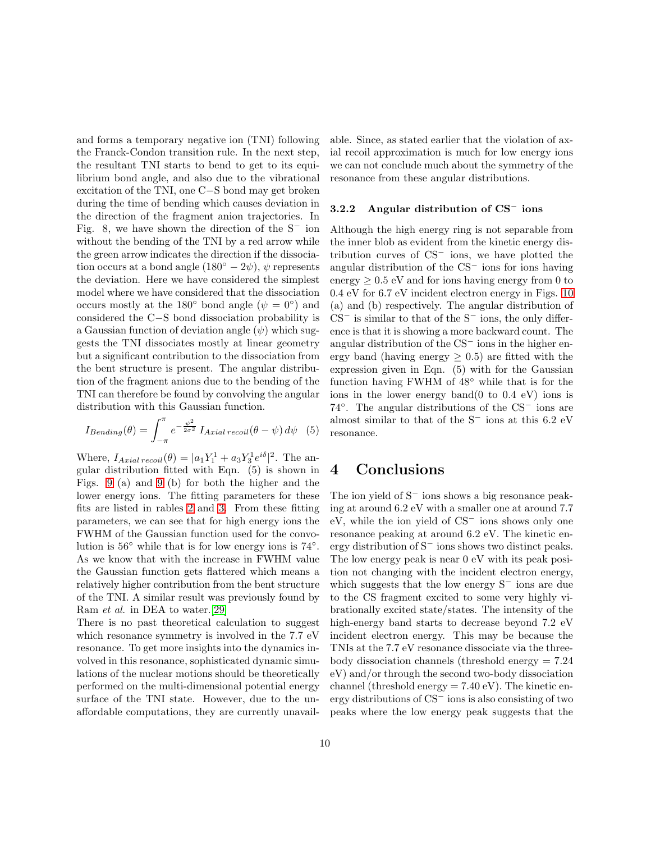and forms a temporary negative ion (TNI) following the Franck-Condon transition rule. In the next step, the resultant TNI starts to bend to get to its equilibrium bond angle, and also due to the vibrational excitation of the TNI, one C−S bond may get broken during the time of bending which causes deviation in the direction of the fragment anion trajectories. In Fig. 8, we have shown the direction of the S<sup>−</sup> ion without the bending of the TNI by a red arrow while the green arrow indicates the direction if the dissociation occurs at a bond angle  $(180° - 2\psi)$ ,  $\psi$  represents the deviation. Here we have considered the simplest model where we have considered that the dissociation occurs mostly at the 180 $^{\circ}$  bond angle ( $\psi = 0^{\circ}$ ) and considered the C−S bond dissociation probability is a Gaussian function of deviation angle  $(\psi)$  which suggests the TNI dissociates mostly at linear geometry but a significant contribution to the dissociation from the bent structure is present. The angular distribution of the fragment anions due to the bending of the TNI can therefore be found by convolving the angular distribution with this Gaussian function.

$$
I_{Bending}(\theta) = \int_{-\pi}^{\pi} e^{-\frac{\psi^2}{2\sigma^2}} I_{Axial\, recoil}(\theta - \psi) d\psi \quad (5)
$$

Where,  $I_{\text{Axial recoil}}(\theta) = |a_1 Y_1^1 + a_3 Y_3^1 e^{i\delta}|^2$ . The angular distribution fitted with Eqn. (5) is shown in Figs. [9](#page-7-1) (a) and [9](#page-7-1) (b) for both the higher and the lower energy ions. The fitting parameters for these fits are listed in rables [2](#page-8-0) and [3.](#page-8-1) From these fitting parameters, we can see that for high energy ions the FWHM of the Gaussian function used for the convolution is  $56°$  while that is for low energy ions is  $74°$ . As we know that with the increase in FWHM value the Gaussian function gets flattered which means a relatively higher contribution from the bent structure of the TNI. A similar result was previously found by Ram et al. in DEA to water.[\[29\]](#page-11-8)

There is no past theoretical calculation to suggest which resonance symmetry is involved in the 7.7 eV resonance. To get more insights into the dynamics involved in this resonance, sophisticated dynamic simulations of the nuclear motions should be theoretically performed on the multi-dimensional potential energy surface of the TNI state. However, due to the unaffordable computations, they are currently unavailable. Since, as stated earlier that the violation of axial recoil approximation is much for low energy ions we can not conclude much about the symmetry of the resonance from these angular distributions.

#### 3.2.2 Angular distribution of CS<sup>−</sup> ions

Although the high energy ring is not separable from the inner blob as evident from the kinetic energy distribution curves of CS<sup>−</sup> ions, we have plotted the angular distribution of the CS<sup>−</sup> ions for ions having energy  $> 0.5$  eV and for ions having energy from 0 to 0.4 eV for 6.7 eV incident electron energy in Figs. [10](#page-8-2) (a) and (b) respectively. The angular distribution of  $CS^-$  is similar to that of the  $S^-$  ions, the only difference is that it is showing a more backward count. The angular distribution of the CS<sup>−</sup> ions in the higher energy band (having energy  $\geq 0.5$ ) are fitted with the expression given in Eqn. (5) with for the Gaussian function having FWHM of 48◦ while that is for the ions in the lower energy band(0 to 0.4 eV) ions is 74◦ . The angular distributions of the CS<sup>−</sup> ions are almost similar to that of the S<sup>−</sup> ions at this 6.2 eV resonance.

# 4 Conclusions

The ion yield of S<sup>−</sup> ions shows a big resonance peaking at around 6.2 eV with a smaller one at around 7.7 eV, while the ion yield of CS<sup>−</sup> ions shows only one resonance peaking at around 6.2 eV. The kinetic energy distribution of S<sup>−</sup> ions shows two distinct peaks. The low energy peak is near 0 eV with its peak position not changing with the incident electron energy, which suggests that the low energy S<sup>−</sup> ions are due to the CS fragment excited to some very highly vibrationally excited state/states. The intensity of the high-energy band starts to decrease beyond 7.2 eV incident electron energy. This may be because the TNIs at the 7.7 eV resonance dissociate via the threebody dissociation channels (threshold energy = 7.24 eV) and/or through the second two-body dissociation channel (threshold energy  $= 7.40 \text{ eV}$ ). The kinetic energy distributions of CS<sup>−</sup> ions is also consisting of two peaks where the low energy peak suggests that the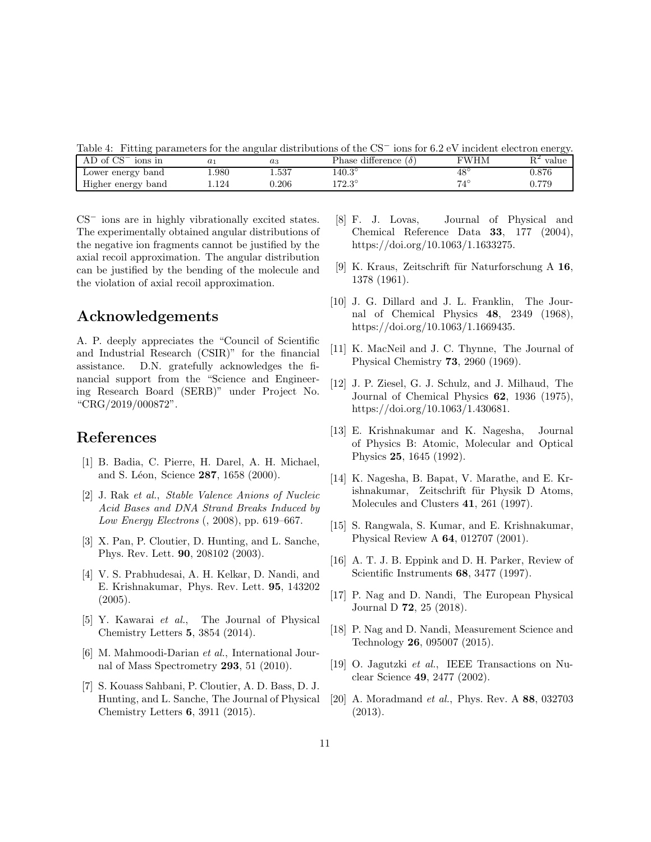Table 4: Fitting parameters for the angular distributions of the CS<sup>−</sup> ions for 6.2 eV incident electron energy.

| AD of $CS^-$<br>ions in |                     | $a_3$     | Phase difference,<br>$\sigma$ | FWHM         | value<br>1 U |
|-------------------------|---------------------|-----------|-------------------------------|--------------|--------------|
| Lower energy band       | 980                 | 1.537     | $140.3^\circ$                 | $48^{\circ}$ | $_{0.876}$   |
| Higher energy<br>band   | $^{\backprime}.124$ | ${0.206}$ | $172.3^\circ$                 | $7.4\degree$ | 0.779        |

CS<sup>−</sup> ions are in highly vibrationally excited states. The experimentally obtained angular distributions of the negative ion fragments cannot be justified by the axial recoil approximation. The angular distribution can be justified by the bending of the molecule and the violation of axial recoil approximation.

## Acknowledgements

A. P. deeply appreciates the "Council of Scientific and Industrial Research (CSIR)" for the financial assistance. D.N. gratefully acknowledges the financial support from the "Science and Engineering Research Board (SERB)" under Project No. "CRG/2019/000872".

# <span id="page-10-0"></span>References

- [1] B. Badia, C. Pierre, H. Darel, A. H. Michael, and S. Léon, Science 287, 1658 (2000).
- <span id="page-10-1"></span>[2] J. Rak et al., Stable Valence Anions of Nucleic Acid Bases and DNA Strand Breaks Induced by Low Energy Electrons (, 2008), pp. 619–667.
- <span id="page-10-2"></span>[3] X. Pan, P. Cloutier, D. Hunting, and L. Sanche, Phys. Rev. Lett. 90, 208102 (2003).
- <span id="page-10-3"></span>[4] V. S. Prabhudesai, A. H. Kelkar, D. Nandi, and E. Krishnakumar, Phys. Rev. Lett. 95, 143202 (2005).
- <span id="page-10-4"></span>[5] Y. Kawarai et al., The Journal of Physical Chemistry Letters 5, 3854 (2014).
- <span id="page-10-5"></span>[6] M. Mahmoodi-Darian et al., International Journal of Mass Spectrometry 293, 51 (2010).
- <span id="page-10-6"></span>[7] S. Kouass Sahbani, P. Cloutier, A. D. Bass, D. J. Hunting, and L. Sanche, The Journal of Physical Chemistry Letters 6, 3911 (2015).
- <span id="page-10-7"></span>[8] F. J. Lovas, Journal of Physical and Chemical Reference Data 33, 177 (2004), https://doi.org/10.1063/1.1633275.
- <span id="page-10-8"></span>[9] K. Kraus, Zeitschrift für Naturforschung A  $16$ , 1378 (1961).
- <span id="page-10-9"></span>[10] J. G. Dillard and J. L. Franklin, The Journal of Chemical Physics 48, 2349 (1968), https://doi.org/10.1063/1.1669435.
- <span id="page-10-10"></span>[11] K. MacNeil and J. C. Thynne, The Journal of Physical Chemistry 73, 2960 (1969).
- <span id="page-10-11"></span>[12] J. P. Ziesel, G. J. Schulz, and J. Milhaud, The Journal of Chemical Physics 62, 1936 (1975), https://doi.org/10.1063/1.430681.
- <span id="page-10-12"></span>[13] E. Krishnakumar and K. Nagesha, Journal of Physics B: Atomic, Molecular and Optical Physics 25, 1645 (1992).
- <span id="page-10-13"></span>[14] K. Nagesha, B. Bapat, V. Marathe, and E. Krishnakumar, Zeitschrift für Physik D Atoms, Molecules and Clusters 41, 261 (1997).
- <span id="page-10-14"></span>[15] S. Rangwala, S. Kumar, and E. Krishnakumar, Physical Review A 64, 012707 (2001).
- <span id="page-10-15"></span>[16] A. T. J. B. Eppink and D. H. Parker, Review of Scientific Instruments 68, 3477 (1997).
- <span id="page-10-16"></span>[17] P. Nag and D. Nandi, The European Physical Journal D 72, 25 (2018).
- <span id="page-10-17"></span>[18] P. Nag and D. Nandi, Measurement Science and Technology 26, 095007 (2015).
- <span id="page-10-18"></span>[19] O. Jagutzki et al., IEEE Transactions on Nuclear Science 49, 2477 (2002).
- <span id="page-10-19"></span>[20] A. Moradmand *et al.*, Phys. Rev. A **88**, 032703 (2013).